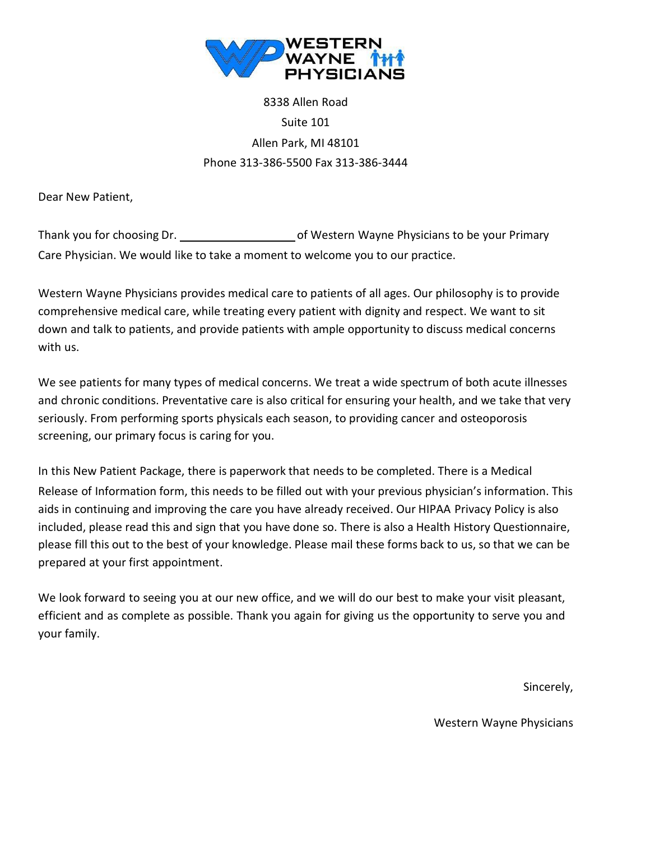

# 8338 Allen Road Suite 101 Allen Park, MI 48101 Phone 313-386-5500 Fax 313-386-3444

Dear New Patient,

Thank you for choosing Dr. **one is a set of Western Wayne Physicians to be your Primary** Care Physician. We would like to take a moment to welcome you to our practice.

Western Wayne Physicians provides medical care to patients of all ages. Our philosophy is to provide comprehensive medical care, while treating every patient with dignity and respect. We want to sit down and talk to patients, and provide patients with ample opportunity to discuss medical concerns with us.

We see patients for many types of medical concerns. We treat a wide spectrum of both acute illnesses and chronic conditions. Preventative care is also critical for ensuring your health, and we take that very seriously. From performing sports physicals each season, to providing cancer and osteoporosis screening, our primary focus is caring for you.

In this New Patient Package, there is paperwork that needs to be completed. There is a Medical Release of Information form, this needs to be filled out with your previous physician's information. This aids in continuing and improving the care you have already received. Our HIPAA Privacy Policy is also included, please read this and sign that you have done so. There is also a Health History Questionnaire, please fill this out to the best of your knowledge. Please mail these forms back to us, so that we can be prepared at your first appointment.

We look forward to seeing you at our new office, and we will do our best to make your visit pleasant, efficient and as complete as possible. Thank you again for giving us the opportunity to serve you and your family.

Sincerely,

Western Wayne Physicians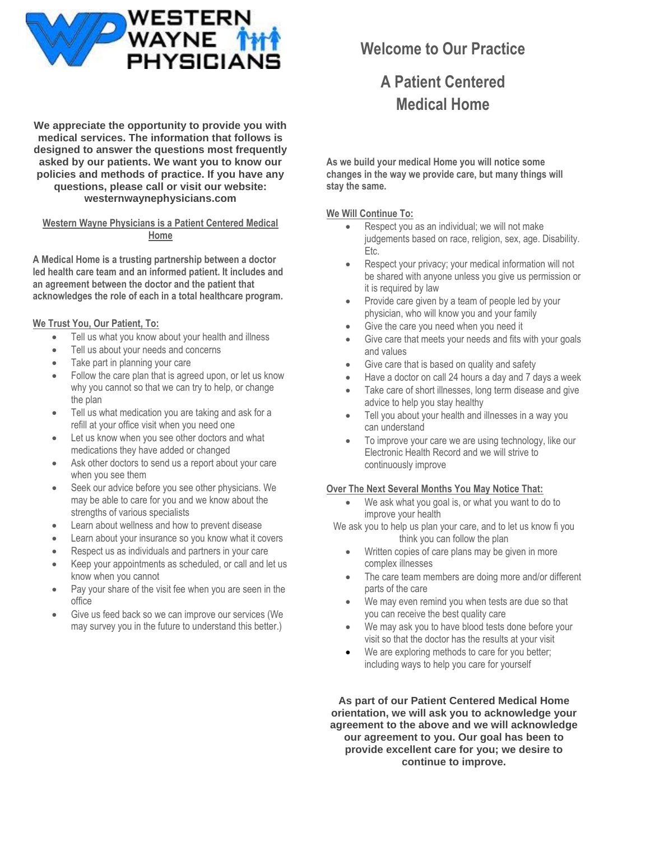

**We appreciate the opportunity to provide you with medical services. The information that follows is designed to answer the questions most frequently asked by our patients. We want you to know our policies and methods of practice. If you have any questions, please call or visit our website: westernwaynephysicians.com**

**Western Wayne Physicians is a Patient Centered Medical Home**

**A Medical Home is a trusting partnership between a doctor led health care team and an informed patient. It includes and an agreement between the doctor and the patient that acknowledges the role of each in a total healthcare program.**

#### **We Trust You, Our Patient, To:**

- Tell us what you know about your health and illness
- Tell us about your needs and concerns
- Take part in planning your care
- Follow the care plan that is agreed upon, or let us know why you cannot so that we can try to help, or change the plan
- Tell us what medication you are taking and ask for a refill at your office visit when you need one
- Let us know when you see other doctors and what medications they have added or changed
- Ask other doctors to send us a report about your care when you see them
- Seek our advice before you see other physicians. We may be able to care for you and we know about the strengths of various specialists
- Learn about wellness and how to prevent disease
- Learn about your insurance so you know what it covers
- Respect us as individuals and partners in your care
- Keep your appointments as scheduled, or call and let us know when you cannot
- Pay your share of the visit fee when you are seen in the office
- Give us feed back so we can improve our services (We may survey you in the future to understand this better.)

# **Welcome to Our Practice**

# **A Patient Centered Medical Home**

**As we build your medical Home you will notice some changes in the way we provide care, but many things will stay the same.**

#### **We Will Continue To:**

- Respect you as an individual; we will not make judgements based on race, religion, sex, age. Disability. Etc.
- Respect your privacy; your medical information will not be shared with anyone unless you give us permission or it is required by law
- Provide care given by a team of people led by your physician, who will know you and your family
- Give the care you need when you need it
- Give care that meets your needs and fits with your goals and values
- Give care that is based on quality and safety
- Have a doctor on call 24 hours a day and 7 days a week
- Take care of short illnesses, long term disease and give advice to help you stay healthy
- Tell you about your health and illnesses in a way you can understand
- To improve your care we are using technology, like our Electronic Health Record and we will strive to continuously improve

#### **Over The Next Several Months You May Notice That:**

- We ask what you goal is, or what you want to do to improve your health
- We ask you to help us plan your care, and to let us know fi you think you can follow the plan
	- Written copies of care plans may be given in more complex illnesses
	- The care team members are doing more and/or different parts of the care
	- We may even remind you when tests are due so that you can receive the best quality care
	- We may ask you to have blood tests done before your visit so that the doctor has the results at your visit
	- We are exploring methods to care for you better; including ways to help you care for yourself

**As part of our Patient Centered Medical Home orientation, we will ask you to acknowledge your agreement to the above and we will acknowledge our agreement to you. Our goal has been to provide excellent care for you; we desire to continue to improve.**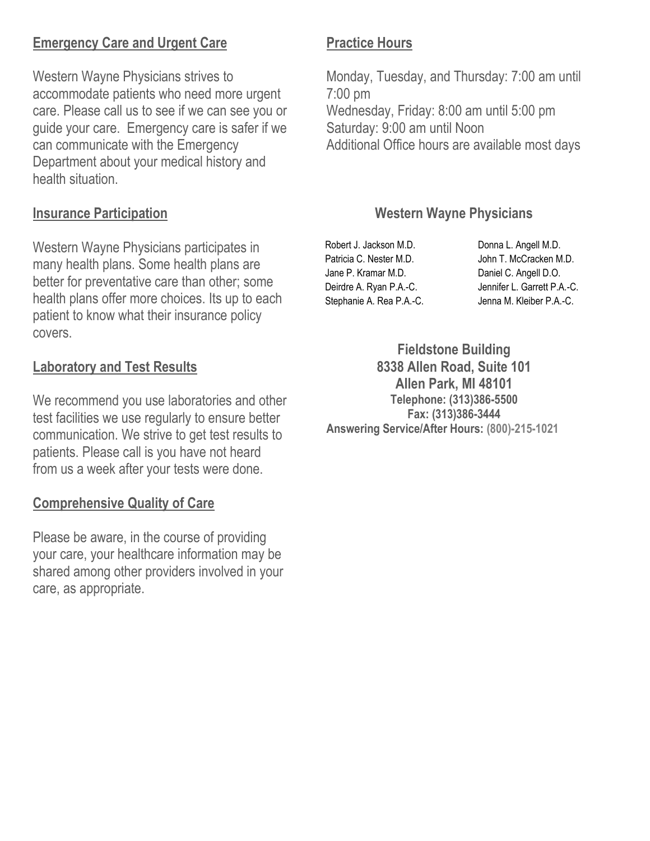## **Emergency Care and Urgent Care**

Western Wayne Physicians strives to accommodate patients who need more urgent care. Please call us to see if we can see you or guide your care. Emergency care is safer if we can communicate with the Emergency Department about your medical history and health situation.

### **Insurance Participation**

Western Wayne Physicians participates in many health plans. Some health plans are better for preventative care than other; some health plans offer more choices. Its up to each patient to know what their insurance policy covers.

### **Laboratory and Test Results**

We recommend you use laboratories and other test facilities we use regularly to ensure better communication. We strive to get test results to patients. Please call is you have not heard from us a week after your tests were done.

### **Comprehensive Quality of Care**

Please be aware, in the course of providing your care, your healthcare information may be shared among other providers involved in your care, as appropriate.

## **Practice Hours**

Monday, Tuesday, and Thursday: 7:00 am until 7:00 pm Wednesday, Friday: 8:00 am until 5:00 pm Saturday: 9:00 am until Noon Additional Office hours are available most days

## **Western Wayne Physicians**

Robert J. Jackson M.D. Donna L. Angell M.D. Patricia C. Nester M.D. John T. McCracken M.D. Jane P. Kramar M.D. Daniel C. Angell D.O. Deirdre A. Ryan P.A.-C. Jennifer L. Garrett P.A.-C. Stephanie A. Rea P.A.-C. Jenna M. Kleiber P.A.-C.

**Fieldstone Building 8338 Allen Road, Suite 101 Allen Park, MI 48101 Telephone: (313)386-5500 Fax: (313)386-3444 Answering Service/After Hours: (800)-215-1021**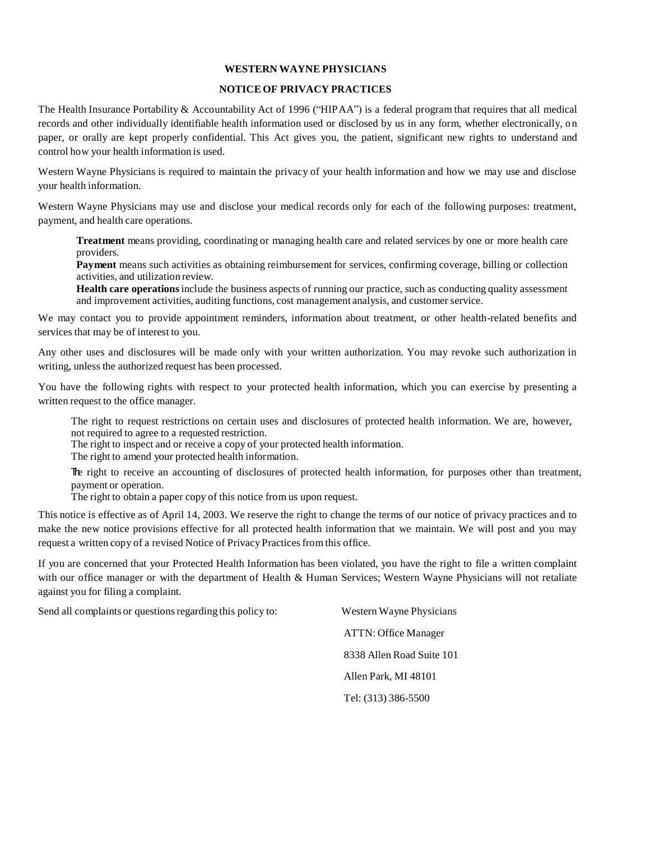#### **WESTERN WAYNE PHYSICIANS**

#### **NOTICE OF PRIVACY PRACTICES**

The Health Insurance Portability  $&$  Accountability Act of 1996 ("HIPAA") is a federal program that requires that all medical records and other individually identifiable health information used or disclosed by us in any form, whether electronically, on paper, or orally are kept properly confidential. This Act gives you, the patient, significant new rights to understand and control how your health information is used.

Western Wayne Physicians is required to maintain the privacy of your health information and how we may use and disclose your health information.

Western Wayne Physicians may use and disclose your medical records only for each of the following purposes: treatment, payment, and health care operations.

**Treatment** means providing, coordinating or managing health care and related services by one or more health care providers.

**Payment** means such activities as obtaining reimbursement for services, confirming coverage, billing or collection activities, and utilization review.

**Health care operations**include the business aspects of running our practice, such as conducting quality assessment and improvement activities, auditing functions, cost management analysis, and customer service.

We may contact you to provide appointment reminders, information about treatment, or other health-related benefits and services that may be of interest to you.

Any other uses and disclosures will be made only with your written authorization. You may revoke such authorization in writing, unless the authorized request has been processed.

You have the following rights with respect to your protected health information, which you can exercise by presenting a written request to the office manager.

The right to request restrictions on certain uses and disclosures of protected health information. We are, however, not required to agree to a requested restriction.

The right to inspect and or receive a copy of your protected health information.

The right to amend your protected health information.

The right to receive an accounting of disclosures of protected health information, for purposes other than treatment, payment or operation.

The right to obtain a paper copy of this notice from us upon request.

This notice is effective as of April 14, 2003. We reserve the right to change the terms of our notice of privacy practices and to make the new notice provisions effective for all protected health information that we maintain. We will post and you may request a written copy of a revised Notice of Privacy Practices from this office.

If you are concerned that your Protected Health Information has been violated, you have the right to file a written complaint with our office manager or with the department of Health & Human Services; Western Wayne Physicians will not retaliate against you for filing a complaint.

| Western Wayne Physicians    |
|-----------------------------|
| <b>ATTN: Office Manager</b> |
| 8338 Allen Road Suite 101   |
| Allen Park, MI 48101        |
| Tel: (313) 386-5500         |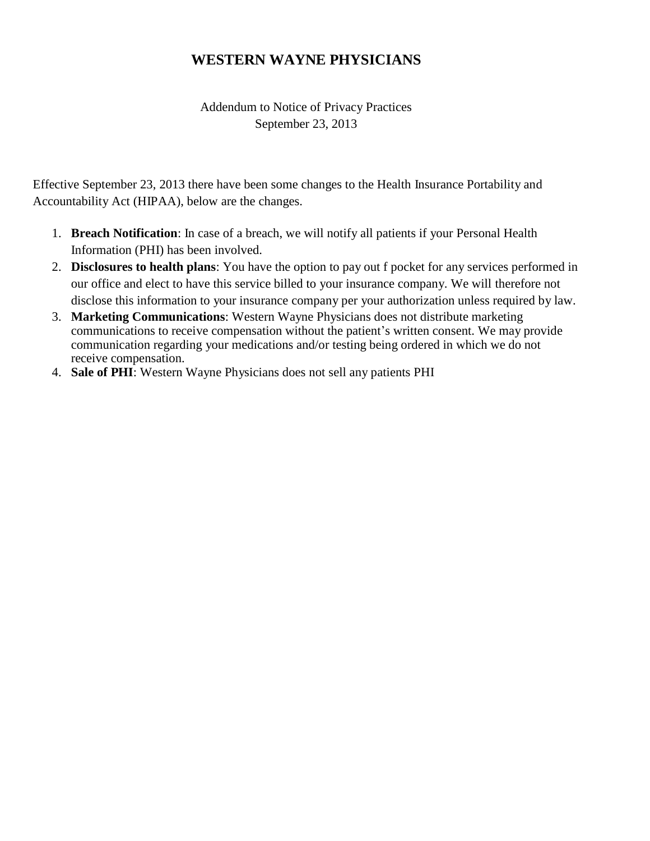### **WESTERN WAYNE PHYSICIANS**

Addendum to Notice of Privacy Practices September 23, 2013

Effective September 23, 2013 there have been some changes to the Health Insurance Portability and Accountability Act (HIPAA), below are the changes.

- 1. **Breach Notification**: In case of a breach, we will notify all patients if your Personal Health Information (PHI) has been involved.
- 2. **Disclosures to health plans**: You have the option to pay out f pocket for any services performed in our office and elect to have this service billed to your insurance company. We will therefore not disclose this information to your insurance company per your authorization unless required by law.
- 3. **Marketing Communications**: Western Wayne Physicians does not distribute marketing communications to receive compensation without the patient's written consent. We may provide communication regarding your medications and/or testing being ordered in which we do not receive compensation.
- 4. **Sale of PHI**: Western Wayne Physicians does not sell any patients PHI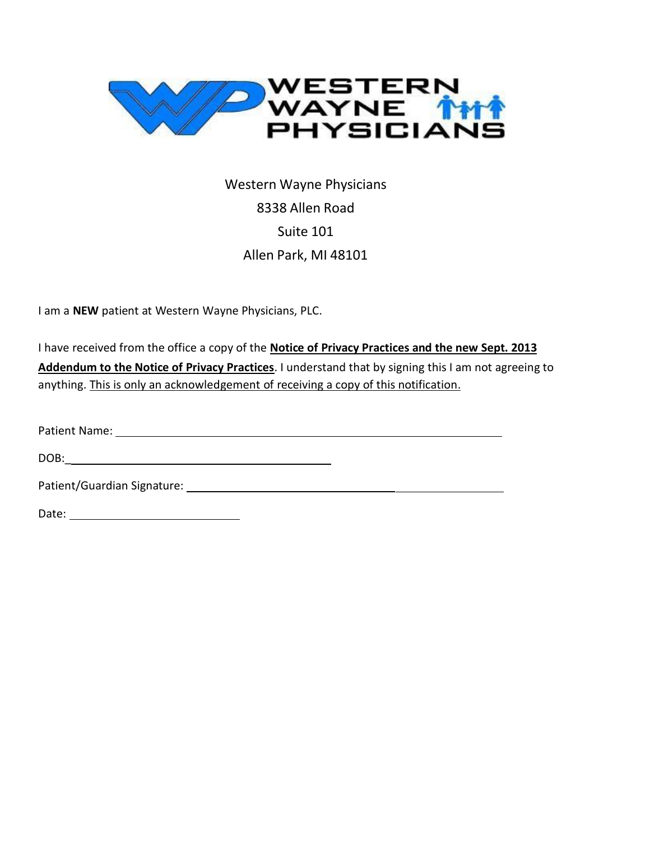

Western Wayne Physicians 8338 Allen Road Suite 101 Allen Park, MI 48101

I am a **NEW** patient at Western Wayne Physicians, PLC.

I have received from the office a copy of the **Notice of Privacy Practices and the new Sept. 2013 Addendum to the Notice of Privacy Practices**. I understand that by signing this I am not agreeing to anything. This is only an acknowledgement of receiving a copy of this notification.

Patient Name: 1988 and 2008 and 2008 and 2008 and 2008 and 2008 and 2008 and 2008 and 2008 and 2008 and 2008 and 2008 and 2008 and 2008 and 2008 and 2008 and 2008 and 2008 and 2008 and 2008 and 2008 and 2008 and 2008 and 2

DOB:\_

Patient/Guardian Signature: 2008 2009 2010 2020 2020 2021 2022 2023 2024 2022 2023 2024 2022 2023 2024 2022 20

Date: with the contract of the contract of the contract of the contract of the contract of the contract of the contract of the contract of the contract of the contract of the contract of the contract of the contract of the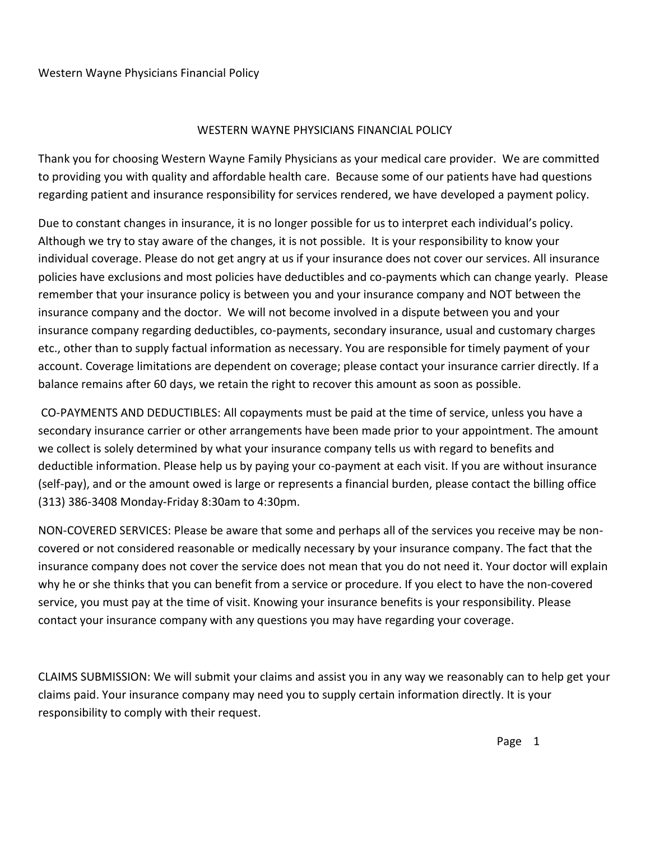### WESTERN WAYNE PHYSICIANS FINANCIAL POLICY

Thank you for choosing Western Wayne Family Physicians as your medical care provider. We are committed to providing you with quality and affordable health care. Because some of our patients have had questions regarding patient and insurance responsibility for services rendered, we have developed a payment policy.

Due to constant changes in insurance, it is no longer possible for us to interpret each individual's policy. Although we try to stay aware of the changes, it is not possible. It is your responsibility to know your individual coverage. Please do not get angry at us if your insurance does not cover our services. All insurance policies have exclusions and most policies have deductibles and co-payments which can change yearly. Please remember that your insurance policy is between you and your insurance company and NOT between the insurance company and the doctor. We will not become involved in a dispute between you and your insurance company regarding deductibles, co-payments, secondary insurance, usual and customary charges etc., other than to supply factual information as necessary. You are responsible for timely payment of your account. Coverage limitations are dependent on coverage; please contact your insurance carrier directly. If a balance remains after 60 days, we retain the right to recover this amount as soon as possible.

CO-PAYMENTS AND DEDUCTIBLES: All copayments must be paid at the time of service, unless you have a secondary insurance carrier or other arrangements have been made prior to your appointment. The amount we collect is solely determined by what your insurance company tells us with regard to benefits and deductible information. Please help us by paying your co-payment at each visit. If you are without insurance (self-pay), and or the amount owed is large or represents a financial burden, please contact the billing office (313) 386-3408 Monday-Friday 8:30am to 4:30pm.

NON-COVERED SERVICES: Please be aware that some and perhaps all of the services you receive may be noncovered or not considered reasonable or medically necessary by your insurance company. The fact that the insurance company does not cover the service does not mean that you do not need it. Your doctor will explain why he or she thinks that you can benefit from a service or procedure. If you elect to have the non-covered service, you must pay at the time of visit. Knowing your insurance benefits is your responsibility. Please contact your insurance company with any questions you may have regarding your coverage.

CLAIMS SUBMISSION: We will submit your claims and assist you in any way we reasonably can to help get your claims paid. Your insurance company may need you to supply certain information directly. It is your responsibility to comply with their request.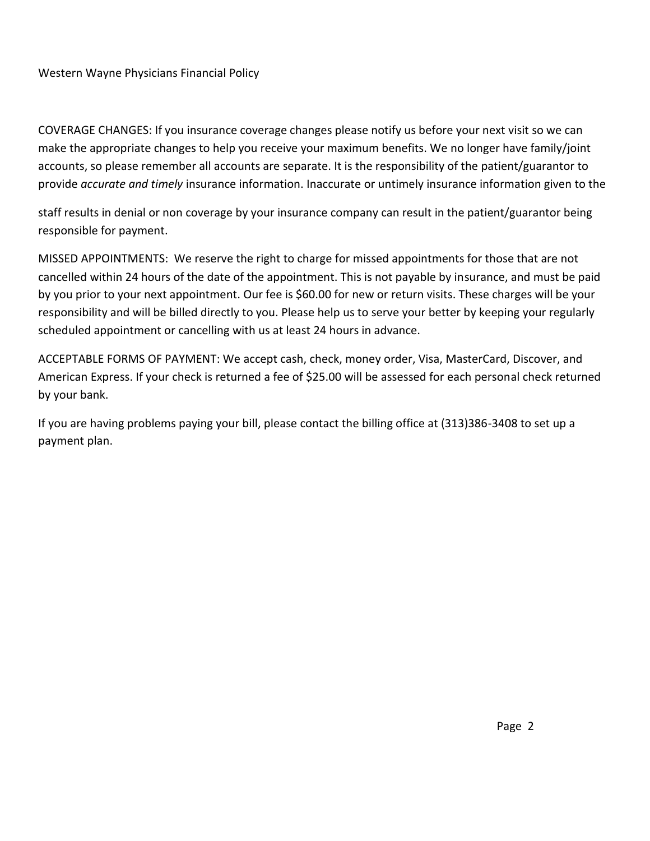### Western Wayne Physicians Financial Policy

COVERAGE CHANGES: If you insurance coverage changes please notify us before your next visit so we can make the appropriate changes to help you receive your maximum benefits. We no longer have family/joint accounts, so please remember all accounts are separate. It is the responsibility of the patient/guarantor to provide *accurate and timely* insurance information. Inaccurate or untimely insurance information given to the

staff results in denial or non coverage by your insurance company can result in the patient/guarantor being responsible for payment.

MISSED APPOINTMENTS: We reserve the right to charge for missed appointments for those that are not cancelled within 24 hours of the date of the appointment. This is not payable by insurance, and must be paid by you prior to your next appointment. Our fee is \$60.00 for new or return visits. These charges will be your responsibility and will be billed directly to you. Please help us to serve your better by keeping your regularly scheduled appointment or cancelling with us at least 24 hours in advance.

ACCEPTABLE FORMS OF PAYMENT: We accept cash, check, money order, Visa, MasterCard, Discover, and American Express. If your check is returned a fee of \$25.00 will be assessed for each personal check returned by your bank.

If you are having problems paying your bill, please contact the billing office at (313)386-3408 to set up a payment plan.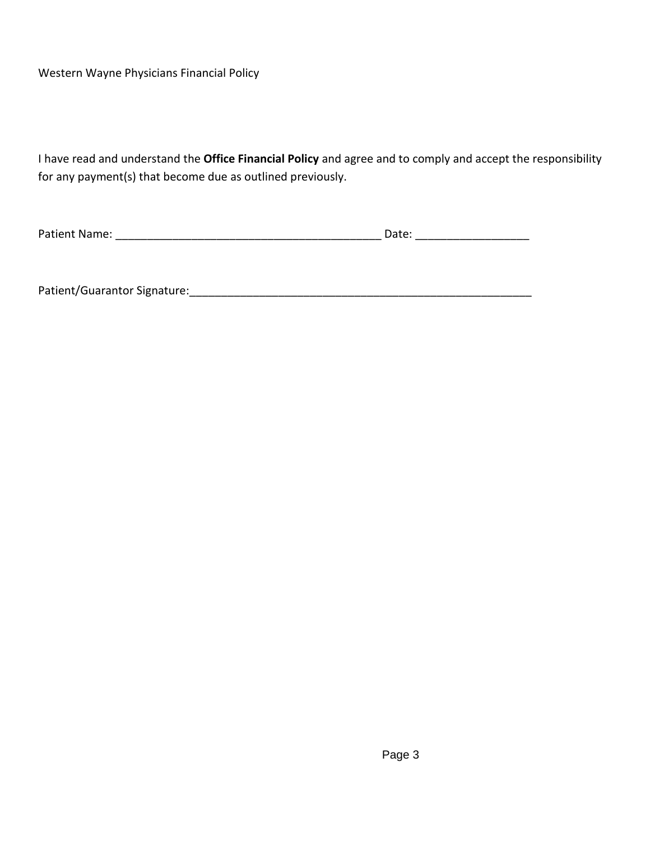Western Wayne Physicians Financial Policy

I have read and understand the **Office Financial Policy** and agree and to comply and accept the responsibility for any payment(s) that become due as outlined previously.

Patient Name: \_\_\_\_\_\_\_\_\_\_\_\_\_\_\_\_\_\_\_\_\_\_\_\_\_\_\_\_\_\_\_\_\_\_\_\_\_\_\_\_\_\_ Date: \_\_\_\_\_\_\_\_\_\_\_\_\_\_\_\_\_\_

Patient/Guarantor Signature:\_\_\_\_\_\_\_\_\_\_\_\_\_\_\_\_\_\_\_\_\_\_\_\_\_\_\_\_\_\_\_\_\_\_\_\_\_\_\_\_\_\_\_\_\_\_\_\_\_\_\_\_\_\_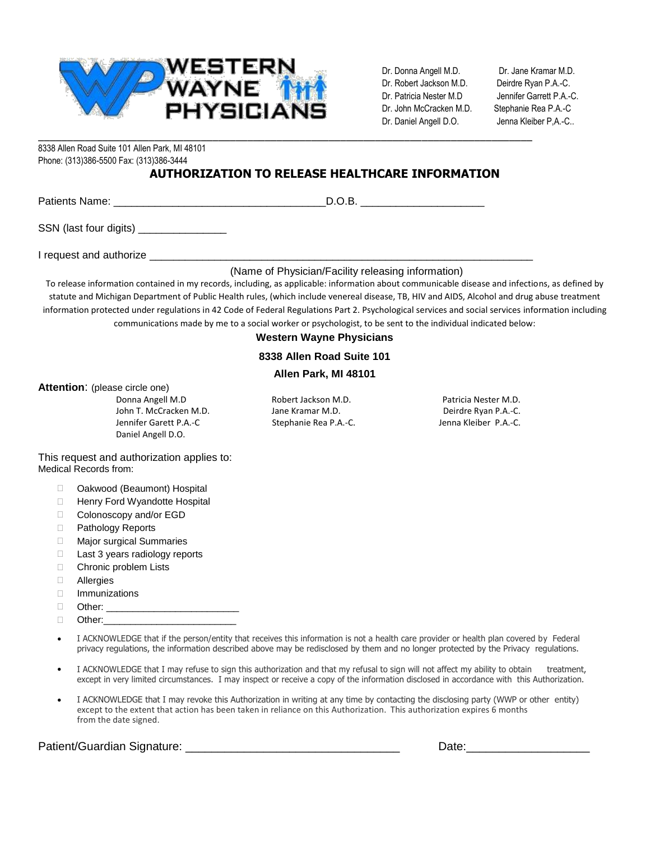

Dr. Donna Angell M.D. Dr. Jane Kramar M.D. Dr. Robert Jackson M.D. Deirdre Ryan P.A.-C. Dr. Patricia Nester M.D Jennifer Garrett P.A.-C. Dr. John McCracken M.D. Stephanie Rea P.A.-C Dr. Daniel Angell D.O. Jenna Kleiber P,A.-C..

\_\_\_\_\_\_\_\_\_\_\_\_\_\_\_\_\_\_\_\_\_\_\_\_\_\_\_\_\_\_\_\_\_\_\_\_\_\_\_\_\_\_\_\_\_\_\_\_\_\_\_\_\_\_\_\_\_\_\_\_\_\_\_\_\_\_\_\_\_\_\_\_\_\_\_\_\_\_\_\_\_\_\_\_\_ 8338 Allen Road Suite 101 Allen Park, MI 48101 Phone: (313)386-5500 Fax: (313)386-3444

### **AUTHORIZATION TO RELEASE HEALTHCARE INFORMATION**

| Patients |  |
|----------|--|
|          |  |

SSN (last four digits) \_\_\_\_\_\_\_\_\_\_\_\_\_\_\_\_\_

I request and authorize

#### (Name of Physician/Facility releasing information)

To release information contained in my records, including, as applicable: information about communicable disease and infections, as defined by statute and Michigan Department of Public Health rules, (which include venereal disease, TB, HIV and AIDS, Alcohol and drug abuse treatment information protected under regulations in 42 Code of Federal Regulations Part 2. Psychological services and social services information including communications made by me to a social worker or psychologist, to be sent to the individual indicated below:

#### **Western Wayne Physicians**

#### **8338 Allen Road Suite 101**

#### **Allen Park, MI 48101**

**Attention**: (please circle one)

Donna Angell M.D Robert Jackson M.D. Patricia Nester M.D. John T. McCracken M.D. **Jane Kramar M.D.** Deirdre Ryan P.A.-C. Jennifer Garett P.A.-C Stephanie Rea P.A.-C. Jenna Kleiber P.A.-C. Daniel Angell D.O.

This request and authorization applies to: Medical Records from:

- □ Oakwood (Beaumont) Hospital
- □ Henry Ford Wyandotte Hospital
- □ Colonoscopy and/or EGD
- □ Pathology Reports
- □ Major surgical Summaries
- □ Last 3 years radiology reports
- □ Chronic problem Lists
- **D** Allergies
- Immunizations
- $\Box$  Other:
- $\Box$  Other:
- I ACKNOWLEDGE that if the person/entity that receives this information is not a health care provider or health plan covered by Federal privacy regulations, the information described above may be redisclosed by them and no longer protected by the Privacy regulations.
- I ACKNOWLEDGE that I may refuse to sign this authorization and that my refusal to sign will not affect my ability to obtain treatment, except in very limited circumstances. I may inspect or receive a copy of the information disclosed in accordance with this Authorization.
- I ACKNOWLEDGE that I may revoke this Authorization in writing at any time by contacting the disclosing party (WWP or other entity) except to the extent that action has been taken in reliance on this Authorization. This authorization expires 6 months from the date signed.

Patient/Guardian Signature: \_\_\_\_\_\_\_\_\_\_\_\_\_\_\_\_\_\_\_\_\_\_\_\_\_\_\_\_\_\_\_\_\_ Date:\_\_\_\_\_\_\_\_\_\_\_\_\_\_\_\_\_\_\_